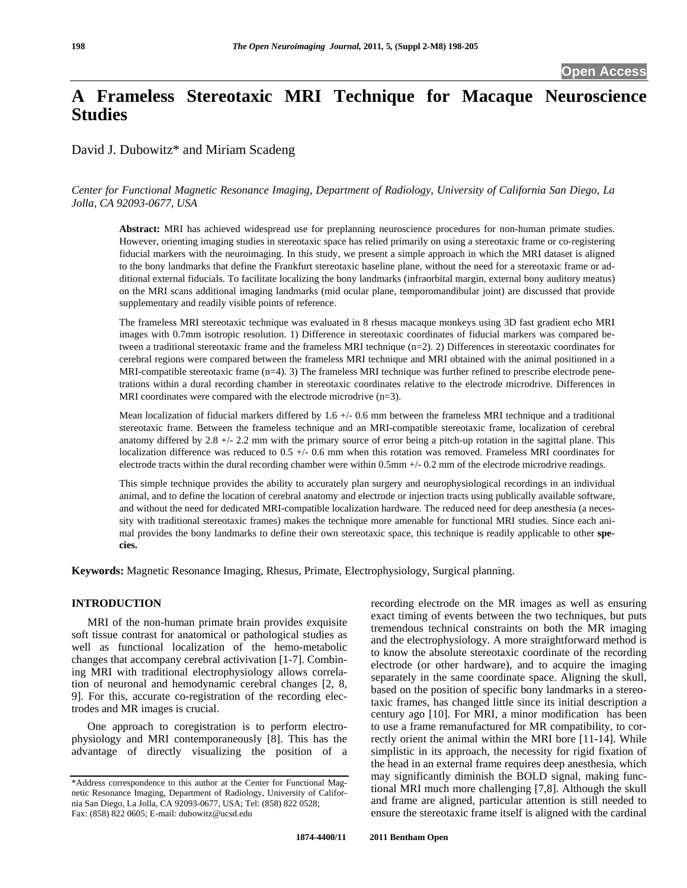# **A Frameless Stereotaxic MRI Technique for Macaque Neuroscience Studies**

David J. Dubowitz\* and Miriam Scadeng

## *Center for Functional Magnetic Resonance Imaging, Department of Radiology, University of California San Diego, La Jolla, CA 92093-0677, USA*

**Abstract:** MRI has achieved widespread use for preplanning neuroscience procedures for non-human primate studies. However, orienting imaging studies in stereotaxic space has relied primarily on using a stereotaxic frame or co-registering fiducial markers with the neuroimaging. In this study, we present a simple approach in which the MRI dataset is aligned to the bony landmarks that define the Frankfurt stereotaxic baseline plane, without the need for a stereotaxic frame or additional external fiducials. To facilitate localizing the bony landmarks (infraorbital margin, external bony auditory meatus) on the MRI scans additional imaging landmarks (mid ocular plane, temporomandibular joint) are discussed that provide supplementary and readily visible points of reference.

The frameless MRI stereotaxic technique was evaluated in 8 rhesus macaque monkeys using 3D fast gradient echo MRI images with 0.7mm isotropic resolution. 1) Difference in stereotaxic coordinates of fiducial markers was compared between a traditional stereotaxic frame and the frameless MRI technique (n=2). 2) Differences in stereotaxic coordinates for cerebral regions were compared between the frameless MRI technique and MRI obtained with the animal positioned in a MRI-compatible stereotaxic frame (n=4). 3) The frameless MRI technique was further refined to prescribe electrode penetrations within a dural recording chamber in stereotaxic coordinates relative to the electrode microdrive. Differences in MRI coordinates were compared with the electrode microdrive  $(n=3)$ .

Mean localization of fiducial markers differed by 1.6 +/- 0.6 mm between the frameless MRI technique and a traditional stereotaxic frame. Between the frameless technique and an MRI-compatible stereotaxic frame, localization of cerebral anatomy differed by 2.8 +/- 2.2 mm with the primary source of error being a pitch-up rotation in the sagittal plane. This localization difference was reduced to 0.5 +/- 0.6 mm when this rotation was removed. Frameless MRI coordinates for electrode tracts within the dural recording chamber were within 0.5mm +/- 0.2 mm of the electrode microdrive readings.

This simple technique provides the ability to accurately plan surgery and neurophysiological recordings in an individual animal, and to define the location of cerebral anatomy and electrode or injection tracts using publically available software, and without the need for dedicated MRI-compatible localization hardware. The reduced need for deep anesthesia (a necessity with traditional stereotaxic frames) makes the technique more amenable for functional MRI studies. Since each animal provides the bony landmarks to define their own stereotaxic space, this technique is readily applicable to other **species.** 

**Keywords:** Magnetic Resonance Imaging, Rhesus, Primate, Electrophysiology, Surgical planning.

#### **INTRODUCTION**

 MRI of the non-human primate brain provides exquisite soft tissue contrast for anatomical or pathological studies as well as functional localization of the hemo-metabolic changes that accompany cerebral activivation [1-7]. Combining MRI with traditional electrophysiology allows correlation of neuronal and hemodynamic cerebral changes [2, 8, 9]. For this, accurate co-registration of the recording electrodes and MR images is crucial.

 One approach to coregistration is to perform electrophysiology and MRI contemporaneously [8]. This has the advantage of directly visualizing the position of a recording electrode on the MR images as well as ensuring exact timing of events between the two techniques, but puts tremendous technical constraints on both the MR imaging and the electrophysiology. A more straightforward method is to know the absolute stereotaxic coordinate of the recording electrode (or other hardware), and to acquire the imaging separately in the same coordinate space. Aligning the skull, based on the position of specific bony landmarks in a stereotaxic frames, has changed little since its initial description a century ago [10]. For MRI, a minor modification has been to use a frame remanufactured for MR compatibility, to correctly orient the animal within the MRI bore [11-14]. While simplistic in its approach, the necessity for rigid fixation of the head in an external frame requires deep anesthesia, which may significantly diminish the BOLD signal, making functional MRI much more challenging [7,8]. Although the skull and frame are aligned, particular attention is still needed to ensure the stereotaxic frame itself is aligned with the cardinal

<sup>\*</sup>Address correspondence to this author at the Center for Functional Magnetic Resonance Imaging, Department of Radiology, University of California San Diego, La Jolla, CA 92093-0677, USA; Tel: (858) 822 0528; Fax: (858) 822 0605; E-mail: dubowitz@ucsd.edu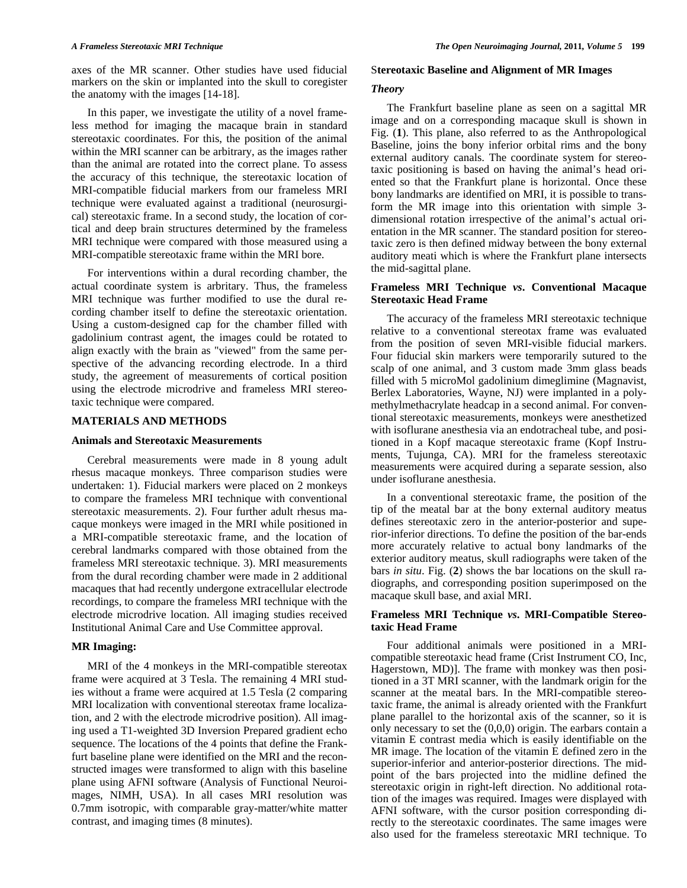axes of the MR scanner. Other studies have used fiducial markers on the skin or implanted into the skull to coregister the anatomy with the images [14-18].

 In this paper, we investigate the utility of a novel frameless method for imaging the macaque brain in standard stereotaxic coordinates. For this, the position of the animal within the MRI scanner can be arbitrary, as the images rather than the animal are rotated into the correct plane. To assess the accuracy of this technique, the stereotaxic location of MRI-compatible fiducial markers from our frameless MRI technique were evaluated against a traditional (neurosurgical) stereotaxic frame. In a second study, the location of cortical and deep brain structures determined by the frameless MRI technique were compared with those measured using a MRI-compatible stereotaxic frame within the MRI bore.

 For interventions within a dural recording chamber, the actual coordinate system is arbritary. Thus, the frameless MRI technique was further modified to use the dural recording chamber itself to define the stereotaxic orientation. Using a custom-designed cap for the chamber filled with gadolinium contrast agent, the images could be rotated to align exactly with the brain as "viewed" from the same perspective of the advancing recording electrode. In a third study, the agreement of measurements of cortical position using the electrode microdrive and frameless MRI stereotaxic technique were compared.

#### **MATERIALS AND METHODS**

#### **Animals and Stereotaxic Measurements**

 Cerebral measurements were made in 8 young adult rhesus macaque monkeys. Three comparison studies were undertaken: 1). Fiducial markers were placed on 2 monkeys to compare the frameless MRI technique with conventional stereotaxic measurements. 2). Four further adult rhesus macaque monkeys were imaged in the MRI while positioned in a MRI-compatible stereotaxic frame, and the location of cerebral landmarks compared with those obtained from the frameless MRI stereotaxic technique. 3). MRI measurements from the dural recording chamber were made in 2 additional macaques that had recently undergone extracellular electrode recordings, to compare the frameless MRI technique with the electrode microdrive location. All imaging studies received Institutional Animal Care and Use Committee approval.

# **MR Imaging:**

 MRI of the 4 monkeys in the MRI-compatible stereotax frame were acquired at 3 Tesla. The remaining 4 MRI studies without a frame were acquired at 1.5 Tesla (2 comparing MRI localization with conventional stereotax frame localization, and 2 with the electrode microdrive position). All imaging used a T1-weighted 3D Inversion Prepared gradient echo sequence. The locations of the 4 points that define the Frankfurt baseline plane were identified on the MRI and the reconstructed images were transformed to align with this baseline plane using AFNI software (Analysis of Functional Neuroimages, NIMH, USA). In all cases MRI resolution was 0.7mm isotropic, with comparable gray-matter/white matter contrast, and imaging times (8 minutes).

#### S**tereotaxic Baseline and Alignment of MR Images**

#### *Theory*

 The Frankfurt baseline plane as seen on a sagittal MR image and on a corresponding macaque skull is shown in Fig. (**1**). This plane, also referred to as the Anthropological Baseline, joins the bony inferior orbital rims and the bony external auditory canals. The coordinate system for stereotaxic positioning is based on having the animal's head oriented so that the Frankfurt plane is horizontal. Once these bony landmarks are identified on MRI, it is possible to transform the MR image into this orientation with simple 3 dimensional rotation irrespective of the animal's actual orientation in the MR scanner. The standard position for stereotaxic zero is then defined midway between the bony external auditory meati which is where the Frankfurt plane intersects the mid-sagittal plane.

## **Frameless MRI Technique** *vs***. Conventional Macaque Stereotaxic Head Frame**

 The accuracy of the frameless MRI stereotaxic technique relative to a conventional stereotax frame was evaluated from the position of seven MRI-visible fiducial markers. Four fiducial skin markers were temporarily sutured to the scalp of one animal, and 3 custom made 3mm glass beads filled with 5 microMol gadolinium dimeglimine (Magnavist, Berlex Laboratories, Wayne, NJ) were implanted in a polymethylmethacrylate headcap in a second animal. For conventional stereotaxic measurements, monkeys were anesthetized with isoflurane anesthesia via an endotracheal tube, and positioned in a Kopf macaque stereotaxic frame (Kopf Instruments, Tujunga, CA). MRI for the frameless stereotaxic measurements were acquired during a separate session, also under isoflurane anesthesia.

 In a conventional stereotaxic frame, the position of the tip of the meatal bar at the bony external auditory meatus defines stereotaxic zero in the anterior-posterior and superior-inferior directions. To define the position of the bar-ends more accurately relative to actual bony landmarks of the exterior auditory meatus, skull radiographs were taken of the bars *in situ*. Fig. (**2**) shows the bar locations on the skull radiographs, and corresponding position superimposed on the macaque skull base, and axial MRI.

# **Frameless MRI Technique** *vs***. MRI-Compatible Stereotaxic Head Frame**

 Four additional animals were positioned in a MRIcompatible stereotaxic head frame (Crist Instrument CO, Inc, Hagerstown, MD)]. The frame with monkey was then positioned in a 3T MRI scanner, with the landmark origin for the scanner at the meatal bars. In the MRI-compatible stereotaxic frame, the animal is already oriented with the Frankfurt plane parallel to the horizontal axis of the scanner, so it is only necessary to set the (0,0,0) origin. The earbars contain a vitamin E contrast media which is easily identifiable on the MR image. The location of the vitamin E defined zero in the superior-inferior and anterior-posterior directions. The midpoint of the bars projected into the midline defined the stereotaxic origin in right-left direction. No additional rotation of the images was required. Images were displayed with AFNI software, with the cursor position corresponding directly to the stereotaxic coordinates. The same images were also used for the frameless stereotaxic MRI technique. To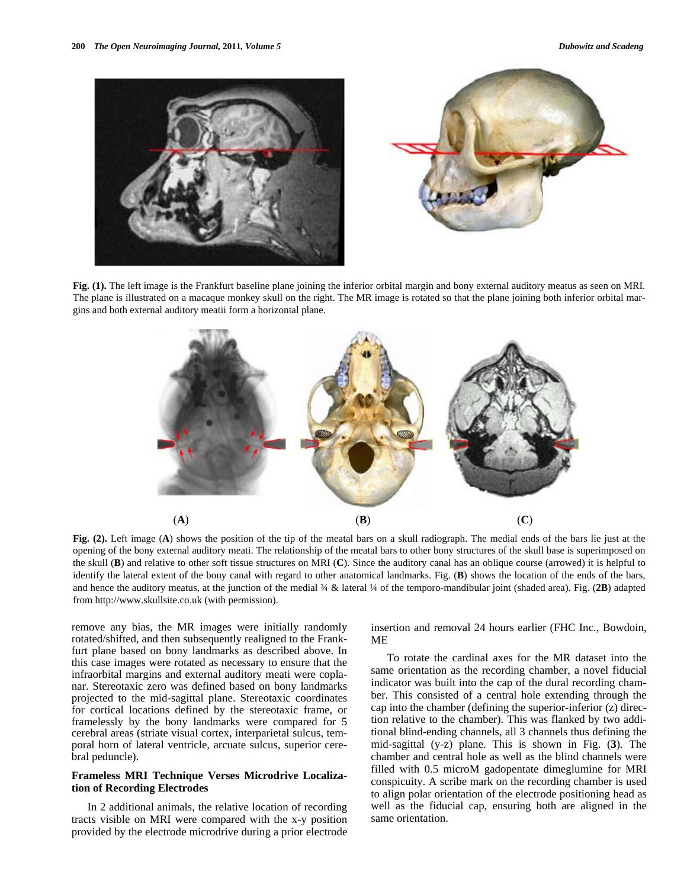



**Fig. (1).** The left image is the Frankfurt baseline plane joining the inferior orbital margin and bony external auditory meatus as seen on MRI. The plane is illustrated on a macaque monkey skull on the right. The MR image is rotated so that the plane joining both inferior orbital margins and both external auditory meatii form a horizontal plane.



**Fig. (2).** Left image (**A**) shows the position of the tip of the meatal bars on a skull radiograph. The medial ends of the bars lie just at the opening of the bony external auditory meati. The relationship of the meatal bars to other bony structures of the skull base is superimposed on the skull (**B**) and relative to other soft tissue structures on MRI (**C**). Since the auditory canal has an oblique course (arrowed) it is helpful to identify the lateral extent of the bony canal with regard to other anatomical landmarks. Fig. (**B**) shows the location of the ends of the bars, and hence the auditory meatus, at the junction of the medial ¾ & lateral ¼ of the temporo-mandibular joint (shaded area). Fig. (**2B**) adapted from http://www.skullsite.co.uk (with permission).

remove any bias, the MR images were initially randomly rotated/shifted, and then subsequently realigned to the Frankfurt plane based on bony landmarks as described above. In this case images were rotated as necessary to ensure that the infraorbital margins and external auditory meati were coplanar. Stereotaxic zero was defined based on bony landmarks projected to the mid-sagittal plane. Stereotaxic coordinates for cortical locations defined by the stereotaxic frame, or framelessly by the bony landmarks were compared for 5 cerebral areas (striate visual cortex, interparietal sulcus, temporal horn of lateral ventricle, arcuate sulcus, superior cerebral peduncle).

# **Frameless MRI Technique Verses Microdrive Localization of Recording Electrodes**

 In 2 additional animals, the relative location of recording tracts visible on MRI were compared with the x-y position provided by the electrode microdrive during a prior electrode

insertion and removal 24 hours earlier (FHC Inc., Bowdoin, ME

 To rotate the cardinal axes for the MR dataset into the same orientation as the recording chamber, a novel fiducial indicator was built into the cap of the dural recording chamber. This consisted of a central hole extending through the cap into the chamber (defining the superior-inferior (z) direction relative to the chamber). This was flanked by two additional blind-ending channels, all 3 channels thus defining the mid-sagittal (y-z) plane. This is shown in Fig. (**3**). The chamber and central hole as well as the blind channels were filled with 0.5 microM gadopentate dimeglumine for MRI conspicuity. A scribe mark on the recording chamber is used to align polar orientation of the electrode positioning head as well as the fiducial cap, ensuring both are aligned in the same orientation.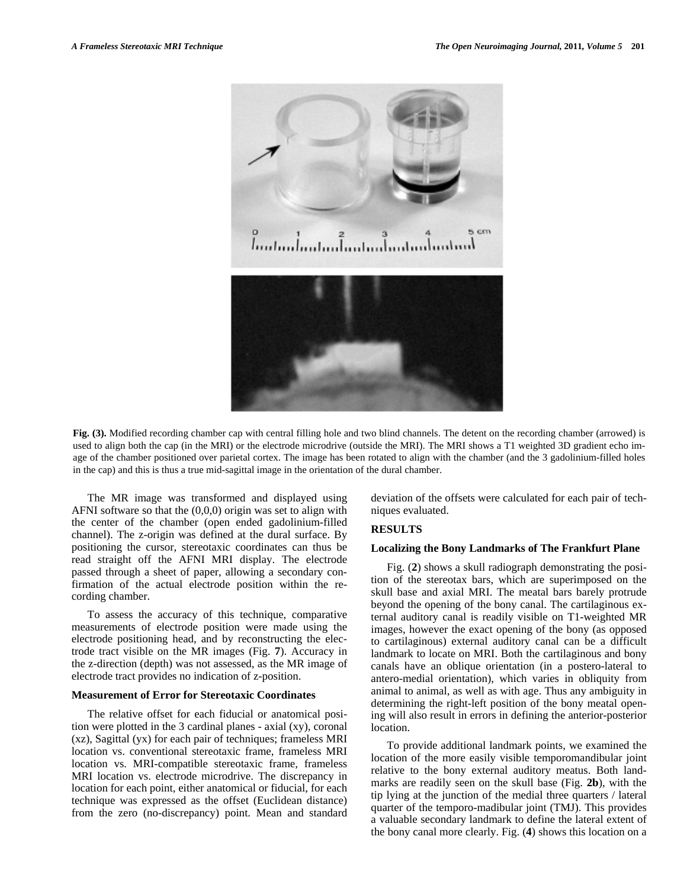

**Fig. (3).** Modified recording chamber cap with central filling hole and two blind channels. The detent on the recording chamber (arrowed) is used to align both the cap (in the MRI) or the electrode microdrive (outside the MRI). The MRI shows a T1 weighted 3D gradient echo image of the chamber positioned over parietal cortex. The image has been rotated to align with the chamber (and the 3 gadolinium-filled holes in the cap) and this is thus a true mid-sagittal image in the orientation of the dural chamber.

 The MR image was transformed and displayed using AFNI software so that the  $(0,0,0)$  origin was set to align with the center of the chamber (open ended gadolinium-filled channel). The z-origin was defined at the dural surface. By positioning the cursor, stereotaxic coordinates can thus be read straight off the AFNI MRI display. The electrode passed through a sheet of paper, allowing a secondary confirmation of the actual electrode position within the recording chamber.

 To assess the accuracy of this technique, comparative measurements of electrode position were made using the electrode positioning head, and by reconstructing the electrode tract visible on the MR images (Fig. **7**). Accuracy in the z-direction (depth) was not assessed, as the MR image of electrode tract provides no indication of z-position.

#### **Measurement of Error for Stereotaxic Coordinates**

 The relative offset for each fiducial or anatomical position were plotted in the 3 cardinal planes - axial (xy), coronal (xz), Sagittal (yx) for each pair of techniques; frameless MRI location vs. conventional stereotaxic frame, frameless MRI location vs. MRI-compatible stereotaxic frame, frameless MRI location vs. electrode microdrive. The discrepancy in location for each point, either anatomical or fiducial, for each technique was expressed as the offset (Euclidean distance) from the zero (no-discrepancy) point. Mean and standard deviation of the offsets were calculated for each pair of techniques evaluated.

#### **RESULTS**

#### **Localizing the Bony Landmarks of The Frankfurt Plane**

 Fig. (**2**) shows a skull radiograph demonstrating the position of the stereotax bars, which are superimposed on the skull base and axial MRI. The meatal bars barely protrude beyond the opening of the bony canal. The cartilaginous external auditory canal is readily visible on T1-weighted MR images, however the exact opening of the bony (as opposed to cartilaginous) external auditory canal can be a difficult landmark to locate on MRI. Both the cartilaginous and bony canals have an oblique orientation (in a postero-lateral to antero-medial orientation), which varies in obliquity from animal to animal, as well as with age. Thus any ambiguity in determining the right-left position of the bony meatal opening will also result in errors in defining the anterior-posterior location.

 To provide additional landmark points, we examined the location of the more easily visible temporomandibular joint relative to the bony external auditory meatus. Both landmarks are readily seen on the skull base (Fig. **2b**), with the tip lying at the junction of the medial three quarters / lateral quarter of the temporo-madibular joint (TMJ). This provides a valuable secondary landmark to define the lateral extent of the bony canal more clearly. Fig. (**4**) shows this location on a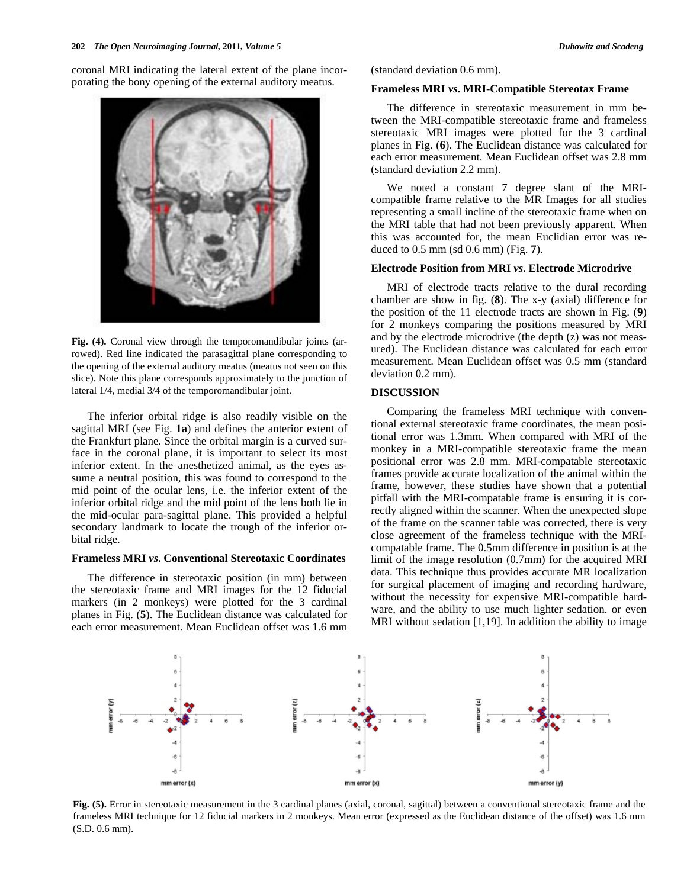

**Fig. (4).** Coronal view through the temporomandibular joints (arrowed). Red line indicated the parasagittal plane corresponding to the opening of the external auditory meatus (meatus not seen on this slice). Note this plane corresponds approximately to the junction of lateral 1/4, medial 3/4 of the temporomandibular joint.

 The inferior orbital ridge is also readily visible on the sagittal MRI (see Fig. **1a**) and defines the anterior extent of the Frankfurt plane. Since the orbital margin is a curved surface in the coronal plane, it is important to select its most inferior extent. In the anesthetized animal, as the eyes assume a neutral position, this was found to correspond to the mid point of the ocular lens, i.e. the inferior extent of the inferior orbital ridge and the mid point of the lens both lie in the mid-ocular para-sagittal plane. This provided a helpful secondary landmark to locate the trough of the inferior orbital ridge.

#### **Frameless MRI** *vs***. Conventional Stereotaxic Coordinates**

 The difference in stereotaxic position (in mm) between the stereotaxic frame and MRI images for the 12 fiducial markers (in 2 monkeys) were plotted for the 3 cardinal planes in Fig. (**5**). The Euclidean distance was calculated for each error measurement. Mean Euclidean offset was 1.6 mm

(standard deviation 0.6 mm).

#### **Frameless MRI** *vs***. MRI-Compatible Stereotax Frame**

 The difference in stereotaxic measurement in mm between the MRI-compatible stereotaxic frame and frameless stereotaxic MRI images were plotted for the 3 cardinal planes in Fig. (**6**). The Euclidean distance was calculated for each error measurement. Mean Euclidean offset was 2.8 mm (standard deviation 2.2 mm).

 We noted a constant 7 degree slant of the MRIcompatible frame relative to the MR Images for all studies representing a small incline of the stereotaxic frame when on the MRI table that had not been previously apparent. When this was accounted for, the mean Euclidian error was reduced to 0.5 mm (sd 0.6 mm) (Fig. **7**).

#### **Electrode Position from MRI** *vs***. Electrode Microdrive**

 MRI of electrode tracts relative to the dural recording chamber are show in fig. (**8**). The x-y (axial) difference for the position of the 11 electrode tracts are shown in Fig. (**9**) for 2 monkeys comparing the positions measured by MRI and by the electrode microdrive (the depth (z) was not measured). The Euclidean distance was calculated for each error measurement. Mean Euclidean offset was 0.5 mm (standard deviation 0.2 mm).

## **DISCUSSION**

 Comparing the frameless MRI technique with conventional external stereotaxic frame coordinates, the mean positional error was 1.3mm. When compared with MRI of the monkey in a MRI-compatible stereotaxic frame the mean positional error was 2.8 mm. MRI-compatable stereotaxic frames provide accurate localization of the animal within the frame, however, these studies have shown that a potential pitfall with the MRI-compatable frame is ensuring it is correctly aligned within the scanner. When the unexpected slope of the frame on the scanner table was corrected, there is very close agreement of the frameless technique with the MRIcompatable frame. The 0.5mm difference in position is at the limit of the image resolution (0.7mm) for the acquired MRI data. This technique thus provides accurate MR localization for surgical placement of imaging and recording hardware, without the necessity for expensive MRI-compatible hardware, and the ability to use much lighter sedation. or even MRI without sedation [1,19]. In addition the ability to image



**Fig. (5).** Error in stereotaxic measurement in the 3 cardinal planes (axial, coronal, sagittal) between a conventional stereotaxic frame and the frameless MRI technique for 12 fiducial markers in 2 monkeys. Mean error (expressed as the Euclidean distance of the offset) was 1.6 mm (S.D. 0.6 mm).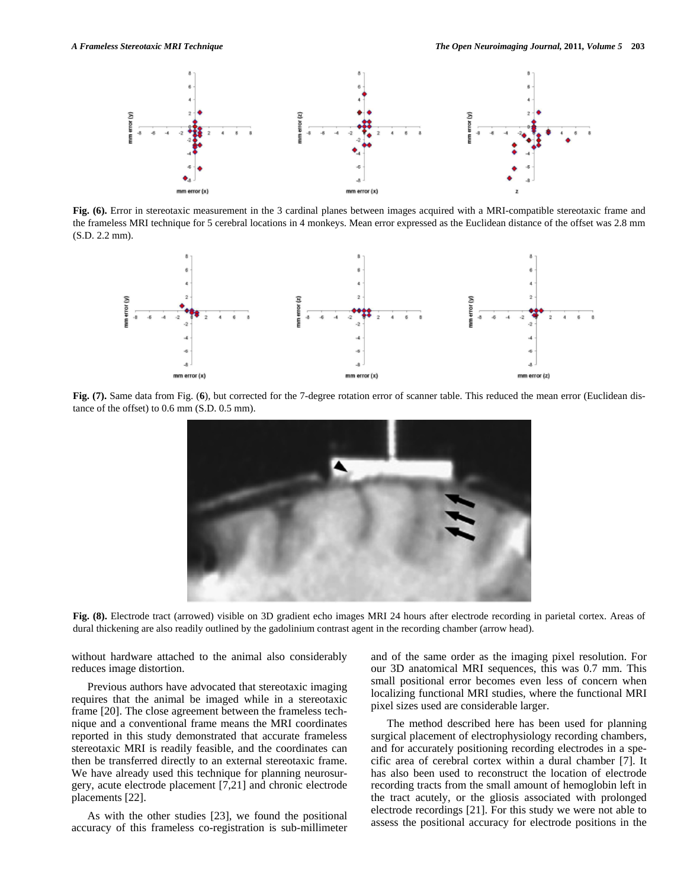

**Fig. (6).** Error in stereotaxic measurement in the 3 cardinal planes between images acquired with a MRI-compatible stereotaxic frame and the frameless MRI technique for 5 cerebral locations in 4 monkeys. Mean error expressed as the Euclidean distance of the offset was 2.8 mm (S.D. 2.2 mm).



**Fig. (7).** Same data from Fig. (**6**), but corrected for the 7-degree rotation error of scanner table. This reduced the mean error (Euclidean distance of the offset) to 0.6 mm (S.D. 0.5 mm).



Fig. (8). Electrode tract (arrowed) visible on 3D gradient echo images MRI 24 hours after electrode recording in parietal cortex. Areas of dural thickening are also readily outlined by the gadolinium contrast agent in the recording chamber (arrow head).

without hardware attached to the animal also considerably reduces image distortion.

 Previous authors have advocated that stereotaxic imaging requires that the animal be imaged while in a stereotaxic frame [20]. The close agreement between the frameless technique and a conventional frame means the MRI coordinates reported in this study demonstrated that accurate frameless stereotaxic MRI is readily feasible, and the coordinates can then be transferred directly to an external stereotaxic frame. We have already used this technique for planning neurosurgery, acute electrode placement [7,21] and chronic electrode placements [22].

 As with the other studies [23], we found the positional accuracy of this frameless co-registration is sub-millimeter and of the same order as the imaging pixel resolution. For our 3D anatomical MRI sequences, this was 0.7 mm. This small positional error becomes even less of concern when localizing functional MRI studies, where the functional MRI pixel sizes used are considerable larger.

 The method described here has been used for planning surgical placement of electrophysiology recording chambers, and for accurately positioning recording electrodes in a specific area of cerebral cortex within a dural chamber [7]. It has also been used to reconstruct the location of electrode recording tracts from the small amount of hemoglobin left in the tract acutely, or the gliosis associated with prolonged electrode recordings [21]. For this study we were not able to assess the positional accuracy for electrode positions in the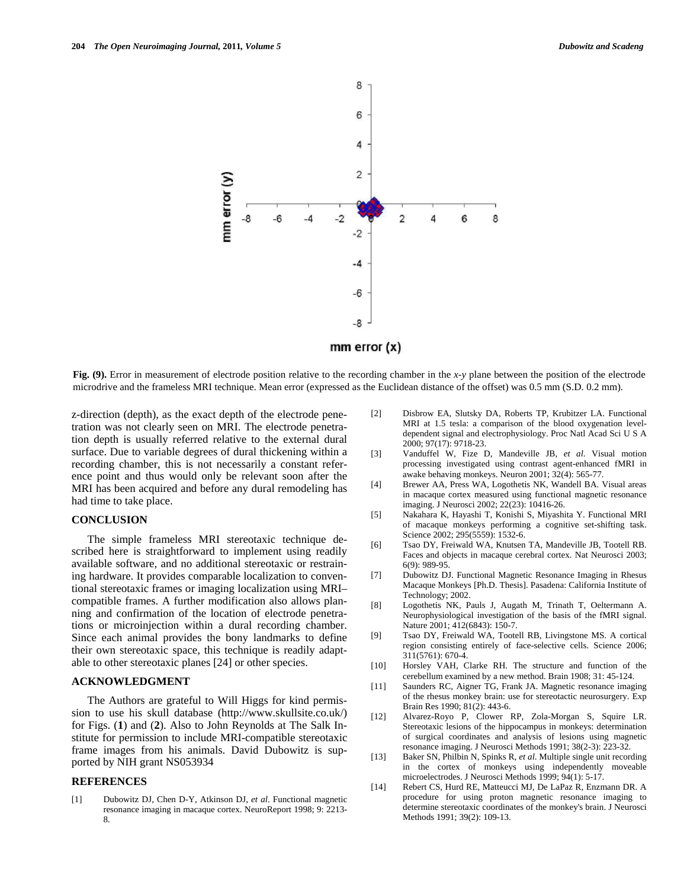

**Fig. (9).** Error in measurement of electrode position relative to the recording chamber in the *x-y* plane between the position of the electrode microdrive and the frameless MRI technique. Mean error (expressed as the Euclidean distance of the offset) was 0.5 mm (S.D. 0.2 mm).

z-direction (depth), as the exact depth of the electrode penetration was not clearly seen on MRI. The electrode penetration depth is usually referred relative to the external dural surface. Due to variable degrees of dural thickening within a recording chamber, this is not necessarily a constant reference point and thus would only be relevant soon after the MRI has been acquired and before any dural remodeling has had time to take place.

#### **CONCLUSION**

 The simple frameless MRI stereotaxic technique described here is straightforward to implement using readily available software, and no additional stereotaxic or restraining hardware. It provides comparable localization to conventional stereotaxic frames or imaging localization using MRI– compatible frames. A further modification also allows planning and confirmation of the location of electrode penetrations or microinjection within a dural recording chamber. Since each animal provides the bony landmarks to define their own stereotaxic space, this technique is readily adaptable to other stereotaxic planes [24] or other species.

#### **ACKNOWLEDGMENT**

 The Authors are grateful to Will Higgs for kind permission to use his skull database (http://www.skullsite.co.uk/) for Figs. (**1**) and (**2**). Also to John Reynolds at The Salk Institute for permission to include MRI-compatible stereotaxic frame images from his animals. David Dubowitz is supported by NIH grant NS053934

#### **REFERENCES**

[1] Dubowitz DJ, Chen D-Y, Atkinson DJ, *et al*. Functional magnetic resonance imaging in macaque cortex. NeuroReport 1998; 9: 2213- 8.

- [2] Disbrow EA, Slutsky DA, Roberts TP, Krubitzer LA. Functional MRI at 1.5 tesla: a comparison of the blood oxygenation leveldependent signal and electrophysiology. Proc Natl Acad Sci U S A 2000; 97(17): 9718-23.
- [3] Vanduffel W, Fize D, Mandeville JB, *et al*. Visual motion processing investigated using contrast agent-enhanced fMRI in awake behaving monkeys. Neuron 2001; 32(4): 565-77.
- [4] Brewer AA, Press WA, Logothetis NK, Wandell BA. Visual areas in macaque cortex measured using functional magnetic resonance imaging. J Neurosci 2002; 22(23): 10416-26.
- [5] Nakahara K, Hayashi T, Konishi S, Miyashita Y. Functional MRI of macaque monkeys performing a cognitive set-shifting task. Science 2002; 295(5559): 1532-6.
- [6] Tsao DY, Freiwald WA, Knutsen TA, Mandeville JB, Tootell RB. Faces and objects in macaque cerebral cortex. Nat Neurosci 2003; 6(9): 989-95.
- [7] Dubowitz DJ. Functional Magnetic Resonance Imaging in Rhesus Macaque Monkeys [Ph.D. Thesis]. Pasadena: California Institute of Technology; 2002.
- [8] Logothetis NK, Pauls J, Augath M, Trinath T, Oeltermann A. Neurophysiological investigation of the basis of the fMRI signal. Nature 2001; 412(6843): 150-7.
- [9] Tsao DY, Freiwald WA, Tootell RB, Livingstone MS. A cortical region consisting entirely of face-selective cells. Science 2006; 311(5761): 670-4.
- [10] Horsley VAH, Clarke RH. The structure and function of the cerebellum examined by a new method. Brain 1908; 31: 45-124.
- [11] Saunders RC, Aigner TG, Frank JA. Magnetic resonance imaging of the rhesus monkey brain: use for stereotactic neurosurgery. Exp Brain Res 1990; 81(2): 443-6.
- [12] Alvarez-Royo P, Clower RP, Zola-Morgan S, Squire LR. Stereotaxic lesions of the hippocampus in monkeys: determination of surgical coordinates and analysis of lesions using magnetic resonance imaging. J Neurosci Methods 1991; 38(2-3): 223-32.
- [13] Baker SN, Philbin N, Spinks R, *et al*. Multiple single unit recording in the cortex of monkeys using independently moveable microelectrodes. J Neurosci Methods 1999; 94(1): 5-17.
- [14] Rebert CS, Hurd RE, Matteucci MJ, De LaPaz R, Enzmann DR. A procedure for using proton magnetic resonance imaging to determine stereotaxic coordinates of the monkey's brain. J Neurosci Methods 1991; 39(2): 109-13.